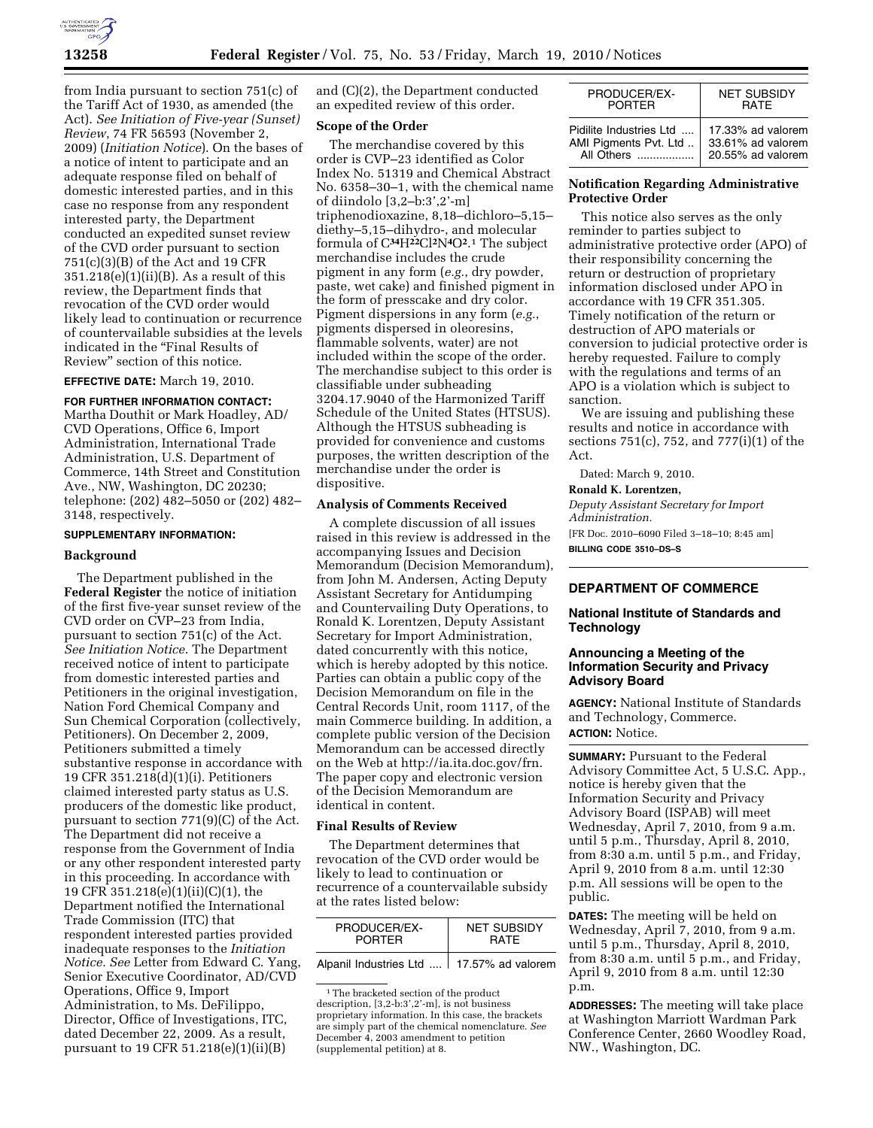

from India pursuant to section 751(c) of the Tariff Act of 1930, as amended (the Act). *See Initiation of Five-year (Sunset) Review*, 74 FR 56593 (November 2, 2009) (*Initiation Notice*). On the bases of a notice of intent to participate and an adequate response filed on behalf of domestic interested parties, and in this case no response from any respondent interested party, the Department conducted an expedited sunset review of the CVD order pursuant to section 751(c)(3)(B) of the Act and 19 CFR  $351.218(e)(1)(ii)(B)$ . As a result of this review, the Department finds that revocation of the CVD order would likely lead to continuation or recurrence of countervailable subsidies at the levels indicated in the "Final Results of Review'' section of this notice.

# **EFFECTIVE DATE:** March 19, 2010.

**FOR FURTHER INFORMATION CONTACT:**  Martha Douthit or Mark Hoadley, AD/ CVD Operations, Office 6, Import Administration, International Trade Administration, U.S. Department of Commerce, 14th Street and Constitution Ave., NW, Washington, DC 20230; telephone: (202) 482–5050 or (202) 482– 3148, respectively.

#### **SUPPLEMENTARY INFORMATION:**

### **Background**

The Department published in the **Federal Register** the notice of initiation of the first five-year sunset review of the CVD order on CVP–23 from India, pursuant to section 751(c) of the Act. *See Initiation Notice*. The Department received notice of intent to participate from domestic interested parties and Petitioners in the original investigation, Nation Ford Chemical Company and Sun Chemical Corporation (collectively, Petitioners). On December 2, 2009, Petitioners submitted a timely substantive response in accordance with 19 CFR 351.218(d)(1)(i). Petitioners claimed interested party status as U.S. producers of the domestic like product, pursuant to section 771(9)(C) of the Act. The Department did not receive a response from the Government of India or any other respondent interested party in this proceeding. In accordance with 19 CFR 351.218(e)(1)(ii)(C)(1), the Department notified the International Trade Commission (ITC) that respondent interested parties provided inadequate responses to the *Initiation Notice. See* Letter from Edward C. Yang, Senior Executive Coordinator, AD/CVD Operations, Office 9, Import Administration, to Ms. DeFilippo, Director, Office of Investigations, ITC, dated December 22, 2009. As a result, pursuant to 19 CFR 51.218(e)(1)(ii)(B)

and (C)(2), the Department conducted an expedited review of this order.

### **Scope of the Order**

The merchandise covered by this order is CVP–23 identified as Color Index No. 51319 and Chemical Abstract No. 6358–30–1, with the chemical name of diindolo [3,2–b:3',2'-m] triphenodioxazine, 8,18–dichloro–5,15– diethy–5,15–dihydro-, and molecular formula of C**34**H**22**Cl**2**N**4**O**2**.1 The subject merchandise includes the crude pigment in any form (*e.g.*, dry powder, paste, wet cake) and finished pigment in the form of presscake and dry color. Pigment dispersions in any form (*e.g.*, pigments dispersed in oleoresins, flammable solvents, water) are not included within the scope of the order. The merchandise subject to this order is classifiable under subheading 3204.17.9040 of the Harmonized Tariff Schedule of the United States (HTSUS). Although the HTSUS subheading is provided for convenience and customs purposes, the written description of the merchandise under the order is dispositive.

#### **Analysis of Comments Received**

A complete discussion of all issues raised in this review is addressed in the accompanying Issues and Decision Memorandum (Decision Memorandum), from John M. Andersen, Acting Deputy Assistant Secretary for Antidumping and Countervailing Duty Operations, to Ronald K. Lorentzen, Deputy Assistant Secretary for Import Administration, dated concurrently with this notice, which is hereby adopted by this notice. Parties can obtain a public copy of the Decision Memorandum on file in the Central Records Unit, room 1117, of the main Commerce building. In addition, a complete public version of the Decision Memorandum can be accessed directly on the Web at http://ia.ita.doc.gov/frn. The paper copy and electronic version of the Decision Memorandum are identical in content.

#### **Final Results of Review**

The Department determines that revocation of the CVD order would be likely to lead to continuation or recurrence of a countervailable subsidy at the rates listed below:

| PRODUCER/EX-  | NFT SUBSIDY |
|---------------|-------------|
| <b>PORTFR</b> | RATF        |
|               |             |

Alpanil Industries Ltd .... 17.57% ad valorem

| PRODUCER/EX-            | <b>NET SUBSIDY</b> |
|-------------------------|--------------------|
| <b>PORTFR</b>           | <b>RATE</b>        |
| Pidilite Industries Ltd | 17.33% ad valorem  |
| AMI Pigments Pvt. Ltd   | 33.61% ad valorem  |
| All Others              | 20.55% ad valorem  |

### **Notification Regarding Administrative Protective Order**

This notice also serves as the only reminder to parties subject to administrative protective order (APO) of their responsibility concerning the return or destruction of proprietary information disclosed under APO in accordance with 19 CFR 351.305. Timely notification of the return or destruction of APO materials or conversion to judicial protective order is hereby requested. Failure to comply with the regulations and terms of an APO is a violation which is subject to sanction.

We are issuing and publishing these results and notice in accordance with sections 751(c), 752, and 777(i)(1) of the Act.

Dated: March 9, 2010.

### **Ronald K. Lorentzen,**

*Deputy Assistant Secretary for Import Administration.* 

[FR Doc. 2010–6090 Filed 3–18–10; 8:45 am] **BILLING CODE 3510–DS–S** 

# **DEPARTMENT OF COMMERCE**

### **National Institute of Standards and Technology**

## **Announcing a Meeting of the Information Security and Privacy Advisory Board**

**AGENCY:** National Institute of Standards and Technology, Commerce. **ACTION:** Notice.

**SUMMARY: Pursuant to the Federal** Advisory Committee Act, 5 U.S.C. App., notice is hereby given that the Information Security and Privacy Advisory Board (ISPAB) will meet Wednesday, April 7, 2010, from 9 a.m. until 5 p.m., Thursday, April 8, 2010, from 8:30 a.m. until 5 p.m., and Friday, April 9, 2010 from 8 a.m. until 12:30 p.m. All sessions will be open to the public.

**DATES:** The meeting will be held on Wednesday, April 7, 2010, from 9 a.m. until 5 p.m., Thursday, April 8, 2010, from 8:30 a.m. until 5 p.m., and Friday, April 9, 2010 from 8 a.m. until 12:30 p.m.

**ADDRESSES:** The meeting will take place at Washington Marriott Wardman Park Conference Center, 2660 Woodley Road, NW., Washington, DC.

<sup>&</sup>lt;sup>1</sup>The bracketed section of the product description, [3,2-b:3',2'-m], is not business proprietary information. In this case, the brackets are simply part of the chemical nomenclature. *See*  December 4, 2003 amendment to petition (supplemental petition) at 8.